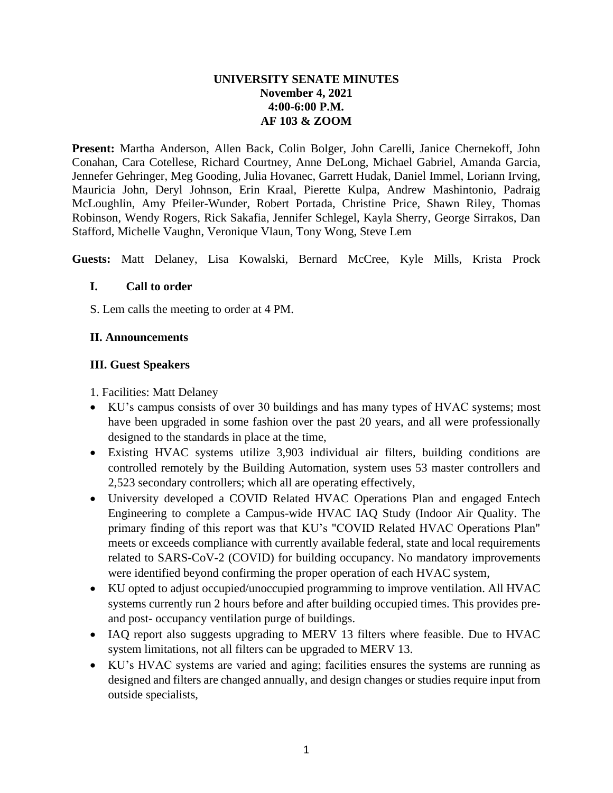### **UNIVERSITY SENATE MINUTES November 4, 2021 4:00-6:00 P.M. AF 103 & ZOOM**

**Present:** Martha Anderson, Allen Back, Colin Bolger, John Carelli, Janice Chernekoff, John Conahan, Cara Cotellese, Richard Courtney, Anne DeLong, Michael Gabriel, Amanda Garcia, Jennefer Gehringer, Meg Gooding, Julia Hovanec, Garrett Hudak, Daniel Immel, Loriann Irving, Mauricia John, Deryl Johnson, Erin Kraal, Pierette Kulpa, Andrew Mashintonio, Padraig McLoughlin, Amy Pfeiler-Wunder, Robert Portada, Christine Price, Shawn Riley, Thomas Robinson, Wendy Rogers, Rick Sakafia, Jennifer Schlegel, Kayla Sherry, George Sirrakos, Dan Stafford, Michelle Vaughn, Veronique Vlaun, Tony Wong, Steve Lem

**Guests:** Matt Delaney, Lisa Kowalski, Bernard McCree, Kyle Mills, Krista Prock

#### **I. Call to order**

S. Lem calls the meeting to order at 4 PM.

### **II. Announcements**

### **III. Guest Speakers**

- 1. Facilities: Matt Delaney
- KU's campus consists of over 30 buildings and has many types of HVAC systems; most have been upgraded in some fashion over the past 20 years, and all were professionally designed to the standards in place at the time,
- Existing HVAC systems utilize 3,903 individual air filters, building conditions are controlled remotely by the Building Automation, system uses 53 master controllers and 2,523 secondary controllers; which all are operating effectively,
- University developed a COVID Related HVAC Operations Plan and engaged Entech Engineering to complete a Campus-wide HVAC IAQ Study (Indoor Air Quality. The primary finding of this report was that KU's "COVID Related HVAC Operations Plan" meets or exceeds compliance with currently available federal, state and local requirements related to SARS-CoV-2 (COVID) for building occupancy. No mandatory improvements were identified beyond confirming the proper operation of each HVAC system,
- KU opted to adjust occupied/unoccupied programming to improve ventilation. All HVAC systems currently run 2 hours before and after building occupied times. This provides preand post- occupancy ventilation purge of buildings.
- IAQ report also suggests upgrading to MERV 13 filters where feasible. Due to HVAC system limitations, not all filters can be upgraded to MERV 13.
- KU's HVAC systems are varied and aging; facilities ensures the systems are running as designed and filters are changed annually, and design changes or studies require input from outside specialists,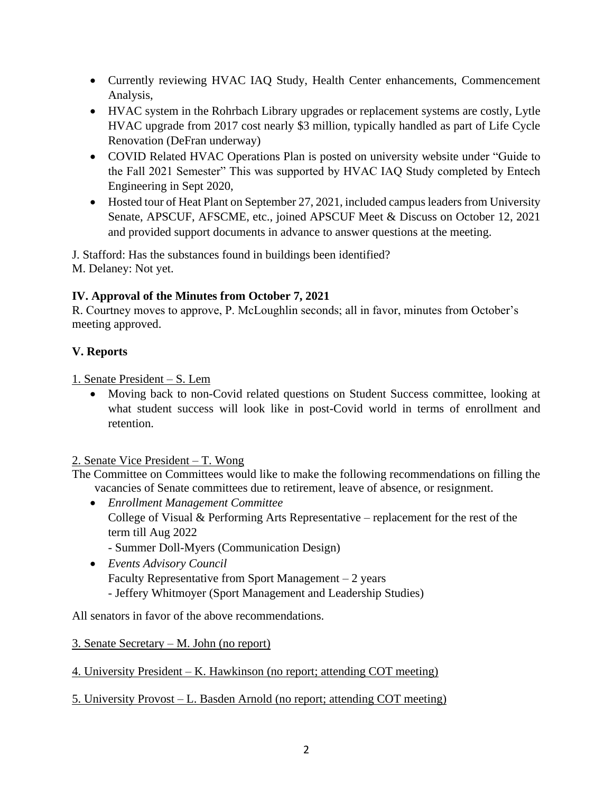- Currently reviewing HVAC IAQ Study, Health Center enhancements, Commencement Analysis,
- HVAC system in the Rohrbach Library upgrades or replacement systems are costly, Lytle HVAC upgrade from 2017 cost nearly \$3 million, typically handled as part of Life Cycle Renovation (DeFran underway)
- COVID Related HVAC Operations Plan is posted on university website under "Guide to the Fall 2021 Semester" This was supported by HVAC IAQ Study completed by Entech Engineering in Sept 2020,
- Hosted tour of Heat Plant on September 27, 2021, included campus leaders from University Senate, APSCUF, AFSCME, etc., joined APSCUF Meet & Discuss on October 12, 2021 and provided support documents in advance to answer questions at the meeting.

J. Stafford: Has the substances found in buildings been identified? M. Delaney: Not yet.

# **IV. Approval of the Minutes from October 7, 2021**

R. Courtney moves to approve, P. McLoughlin seconds; all in favor, minutes from October's meeting approved.

# **V. Reports**

1. Senate President – S. Lem

• Moving back to non-Covid related questions on Student Success committee, looking at what student success will look like in post-Covid world in terms of enrollment and retention.

# 2. Senate Vice President – T. Wong

The Committee on Committees would like to make the following recommendations on filling the vacancies of Senate committees due to retirement, leave of absence, or resignment.

- *Enrollment Management Committee* College of Visual & Performing Arts Representative – replacement for the rest of the term till Aug 2022 - Summer Doll-Myers (Communication Design)
- *Events Advisory Council* Faculty Representative from Sport Management – 2 years - Jeffery Whitmoyer (Sport Management and Leadership Studies)

All senators in favor of the above recommendations.

# 3. Senate Secretary – M. John (no report)

4. University President – K. Hawkinson (no report; attending COT meeting)

# 5. University Provost – L. Basden Arnold (no report; attending COT meeting)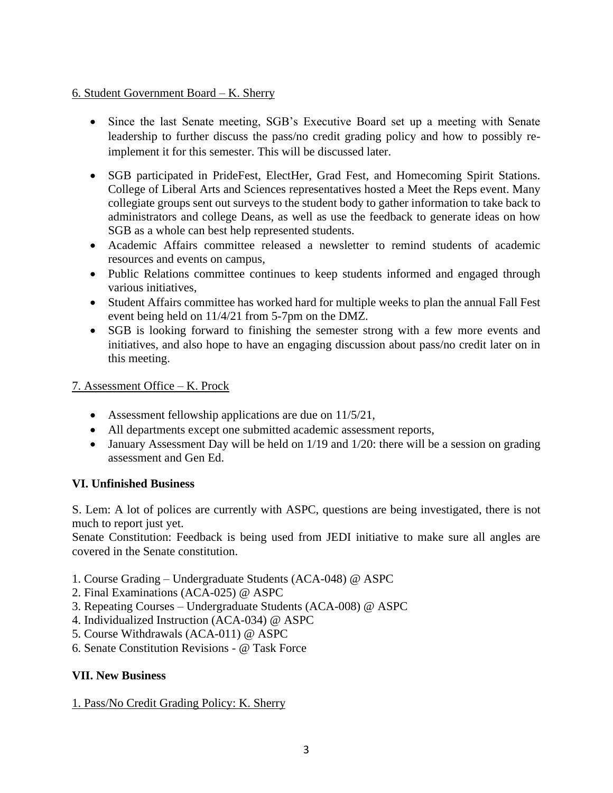### 6. Student Government Board – K. Sherry

- Since the last Senate meeting, SGB's Executive Board set up a meeting with Senate leadership to further discuss the pass/no credit grading policy and how to possibly reimplement it for this semester. This will be discussed later.
- SGB participated in PrideFest, ElectHer, Grad Fest, and Homecoming Spirit Stations. College of Liberal Arts and Sciences representatives hosted a Meet the Reps event. Many collegiate groups sent out surveys to the student body to gather information to take back to administrators and college Deans, as well as use the feedback to generate ideas on how SGB as a whole can best help represented students.
- Academic Affairs committee released a newsletter to remind students of academic resources and events on campus,
- Public Relations committee continues to keep students informed and engaged through various initiatives,
- Student Affairs committee has worked hard for multiple weeks to plan the annual Fall Fest event being held on 11/4/21 from 5-7pm on the DMZ.
- SGB is looking forward to finishing the semester strong with a few more events and initiatives, and also hope to have an engaging discussion about pass/no credit later on in this meeting.

### 7. Assessment Office – K. Prock

- Assessment fellowship applications are due on 11/5/21,
- All departments except one submitted academic assessment reports,
- January Assessment Day will be held on 1/19 and 1/20: there will be a session on grading assessment and Gen Ed.

### **VI. Unfinished Business**

S. Lem: A lot of polices are currently with ASPC, questions are being investigated, there is not much to report just yet.

Senate Constitution: Feedback is being used from JEDI initiative to make sure all angles are covered in the Senate constitution.

- 1. Course Grading Undergraduate Students (ACA-048) @ ASPC
- 2. Final Examinations (ACA-025) @ ASPC
- 3. Repeating Courses Undergraduate Students (ACA-008) @ ASPC
- 4. Individualized Instruction (ACA-034) @ ASPC
- 5. Course Withdrawals (ACA-011) @ ASPC
- 6. Senate Constitution Revisions @ Task Force

### **VII. New Business**

1. Pass/No Credit Grading Policy: K. Sherry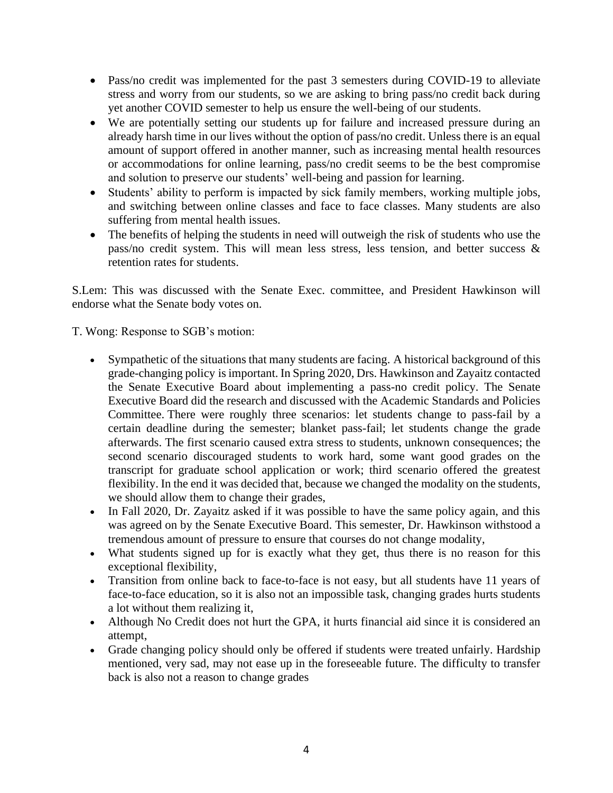- Pass/no credit was implemented for the past 3 semesters during COVID-19 to alleviate stress and worry from our students, so we are asking to bring pass/no credit back during yet another COVID semester to help us ensure the well-being of our students.
- We are potentially setting our students up for failure and increased pressure during an already harsh time in our lives without the option of pass/no credit. Unless there is an equal amount of support offered in another manner, such as increasing mental health resources or accommodations for online learning, pass/no credit seems to be the best compromise and solution to preserve our students' well-being and passion for learning.
- Students' ability to perform is impacted by sick family members, working multiple jobs, and switching between online classes and face to face classes. Many students are also suffering from mental health issues.
- The benefits of helping the students in need will outweigh the risk of students who use the pass/no credit system. This will mean less stress, less tension, and better success & retention rates for students.

S.Lem: This was discussed with the Senate Exec. committee, and President Hawkinson will endorse what the Senate body votes on.

T. Wong: Response to SGB's motion:

- Sympathetic of the situations that many students are facing. A historical background of this grade-changing policy is important. In Spring 2020, Drs. Hawkinson and Zayaitz contacted the Senate Executive Board about implementing a pass-no credit policy. The Senate Executive Board did the research and discussed with the Academic Standards and Policies Committee. There were roughly three scenarios: let students change to pass-fail by a certain deadline during the semester; blanket pass-fail; let students change the grade afterwards. The first scenario caused extra stress to students, unknown consequences; the second scenario discouraged students to work hard, some want good grades on the transcript for graduate school application or work; third scenario offered the greatest flexibility. In the end it was decided that, because we changed the modality on the students, we should allow them to change their grades,
- In Fall 2020, Dr. Zayaitz asked if it was possible to have the same policy again, and this was agreed on by the Senate Executive Board. This semester, Dr. Hawkinson withstood a tremendous amount of pressure to ensure that courses do not change modality,
- What students signed up for is exactly what they get, thus there is no reason for this exceptional flexibility,
- Transition from online back to face-to-face is not easy, but all students have 11 years of face-to-face education, so it is also not an impossible task, changing grades hurts students a lot without them realizing it,
- Although No Credit does not hurt the GPA, it hurts financial aid since it is considered an attempt,
- Grade changing policy should only be offered if students were treated unfairly. Hardship mentioned, very sad, may not ease up in the foreseeable future. The difficulty to transfer back is also not a reason to change grades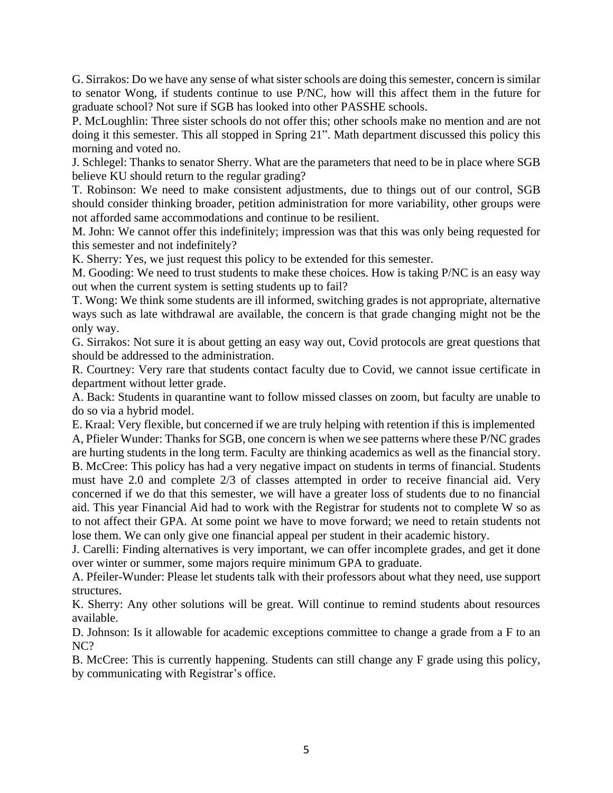G. Sirrakos: Do we have any sense of what sister schools are doing this semester, concern is similar to senator Wong, if students continue to use P/NC, how will this affect them in the future for graduate school? Not sure if SGB has looked into other PASSHE schools.

P. McLoughlin: Three sister schools do not offer this; other schools make no mention and are not doing it this semester. This all stopped in Spring 21". Math department discussed this policy this morning and voted no.

J. Schlegel: Thanks to senator Sherry. What are the parameters that need to be in place where SGB believe KU should return to the regular grading?

T. Robinson: We need to make consistent adjustments, due to things out of our control, SGB should consider thinking broader, petition administration for more variability, other groups were not afforded same accommodations and continue to be resilient.

M. John: We cannot offer this indefinitely; impression was that this was only being requested for this semester and not indefinitely?

K. Sherry: Yes, we just request this policy to be extended for this semester.

M. Gooding: We need to trust students to make these choices. How is taking P/NC is an easy way out when the current system is setting students up to fail?

T. Wong: We think some students are ill informed, switching grades is not appropriate, alternative ways such as late withdrawal are available, the concern is that grade changing might not be the only way.

G. Sirrakos: Not sure it is about getting an easy way out, Covid protocols are great questions that should be addressed to the administration.

R. Courtney: Very rare that students contact faculty due to Covid, we cannot issue certificate in department without letter grade.

A. Back: Students in quarantine want to follow missed classes on zoom, but faculty are unable to do so via a hybrid model.

E. Kraal: Very flexible, but concerned if we are truly helping with retention if this is implemented A, Pfieler Wunder: Thanks for SGB, one concern is when we see patterns where these P/NC grades are hurting students in the long term. Faculty are thinking academics as well as the financial story.

B. McCree: This policy has had a very negative impact on students in terms of financial. Students must have 2.0 and complete 2/3 of classes attempted in order to receive financial aid. Very concerned if we do that this semester, we will have a greater loss of students due to no financial aid. This year Financial Aid had to work with the Registrar for students not to complete W so as to not affect their GPA. At some point we have to move forward; we need to retain students not lose them. We can only give one financial appeal per student in their academic history.

J. Carelli: Finding alternatives is very important, we can offer incomplete grades, and get it done over winter or summer, some majors require minimum GPA to graduate.

A. Pfeiler-Wunder: Please let students talk with their professors about what they need, use support structures.

K. Sherry: Any other solutions will be great. Will continue to remind students about resources available.

D. Johnson: Is it allowable for academic exceptions committee to change a grade from a F to an NC?

B. McCree: This is currently happening. Students can still change any F grade using this policy, by communicating with Registrar's office.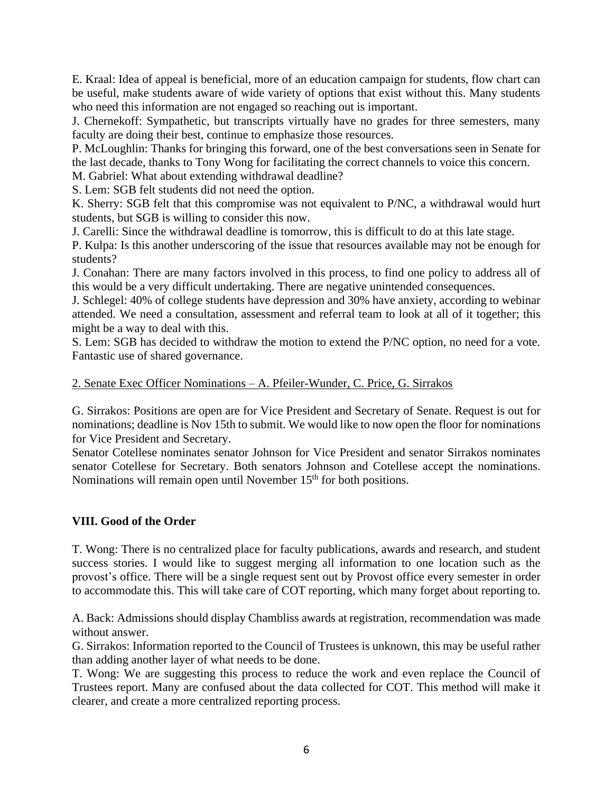E. Kraal: Idea of appeal is beneficial, more of an education campaign for students, flow chart can be useful, make students aware of wide variety of options that exist without this. Many students who need this information are not engaged so reaching out is important.

J. Chernekoff: Sympathetic, but transcripts virtually have no grades for three semesters, many faculty are doing their best, continue to emphasize those resources.

P. McLoughlin: Thanks for bringing this forward, one of the best conversations seen in Senate for the last decade, thanks to Tony Wong for facilitating the correct channels to voice this concern.

M. Gabriel: What about extending withdrawal deadline?

S. Lem: SGB felt students did not need the option.

K. Sherry: SGB felt that this compromise was not equivalent to P/NC, a withdrawal would hurt students, but SGB is willing to consider this now.

J. Carelli: Since the withdrawal deadline is tomorrow, this is difficult to do at this late stage.

P. Kulpa: Is this another underscoring of the issue that resources available may not be enough for students?

J. Conahan: There are many factors involved in this process, to find one policy to address all of this would be a very difficult undertaking. There are negative unintended consequences.

J. Schlegel: 40% of college students have depression and 30% have anxiety, according to webinar attended. We need a consultation, assessment and referral team to look at all of it together; this might be a way to deal with this.

S. Lem: SGB has decided to withdraw the motion to extend the P/NC option, no need for a vote. Fantastic use of shared governance.

#### 2. Senate Exec Officer Nominations – A. Pfeiler-Wunder, C. Price, G. Sirrakos

G. Sirrakos: Positions are open are for Vice President and Secretary of Senate. Request is out for nominations; deadline is Nov 15th to submit. We would like to now open the floor for nominations for Vice President and Secretary.

Senator Cotellese nominates senator Johnson for Vice President and senator Sirrakos nominates senator Cotellese for Secretary. Both senators Johnson and Cotellese accept the nominations. Nominations will remain open until November 15<sup>th</sup> for both positions.

#### **VIII. Good of the Order**

T. Wong: There is no centralized place for faculty publications, awards and research, and student success stories. I would like to suggest merging all information to one location such as the provost's office. There will be a single request sent out by Provost office every semester in order to accommodate this. This will take care of COT reporting, which many forget about reporting to.

A. Back: Admissions should display Chambliss awards at registration, recommendation was made without answer.

G. Sirrakos: Information reported to the Council of Trustees is unknown, this may be useful rather than adding another layer of what needs to be done.

T. Wong: We are suggesting this process to reduce the work and even replace the Council of Trustees report. Many are confused about the data collected for COT. This method will make it clearer, and create a more centralized reporting process.